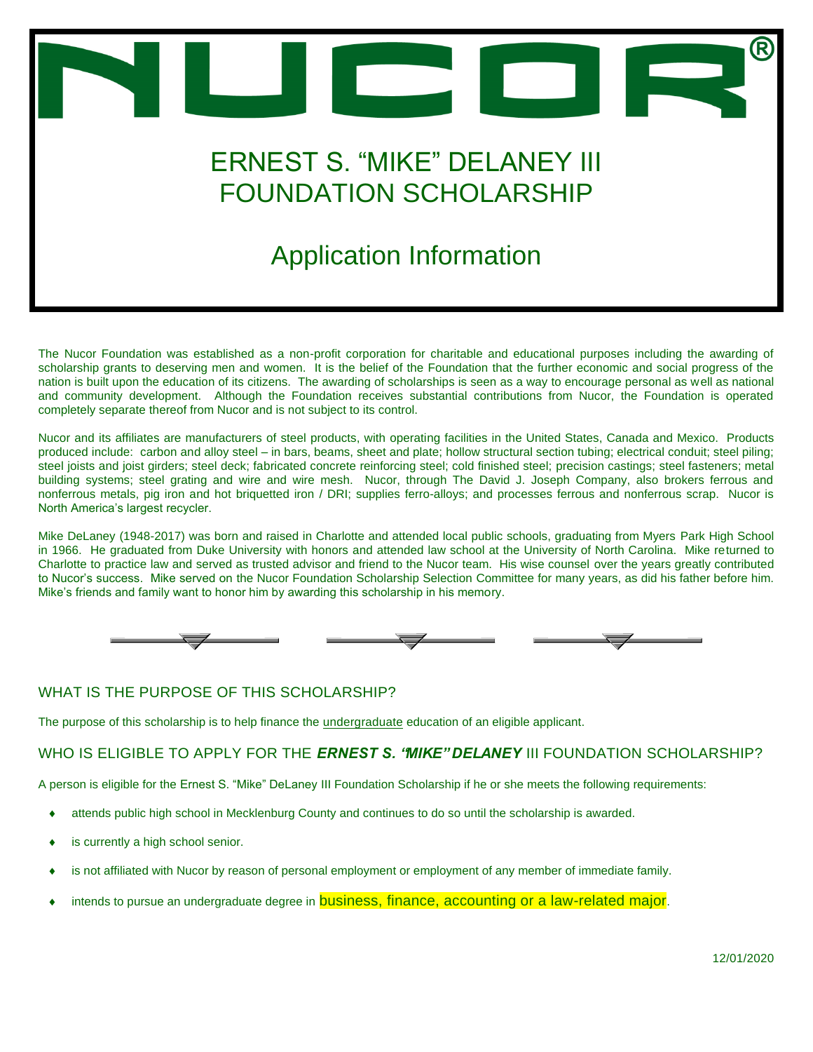

The Nucor Foundation was established as a non-profit corporation for charitable and educational purposes including the awarding of scholarship grants to deserving men and women. It is the belief of the Foundation that the further economic and social progress of the nation is built upon the education of its citizens. The awarding of scholarships is seen as a way to encourage personal as well as national and community development. Although the Foundation receives substantial contributions from Nucor, the Foundation is operated completely separate thereof from Nucor and is not subject to its control.

Nucor and its affiliates are manufacturers of steel products, with operating facilities in the United States, Canada and Mexico. Products produced include: carbon and alloy steel – in bars, beams, sheet and plate; hollow structural section tubing; electrical conduit; steel piling; steel joists and joist girders; steel deck; fabricated concrete reinforcing steel; cold finished steel; precision castings; steel fasteners; metal building systems; steel grating and wire and wire mesh. Nucor, through The David J. Joseph Company, also brokers ferrous and nonferrous metals, pig iron and hot briquetted iron / DRI; supplies ferro-alloys; and processes ferrous and nonferrous scrap. Nucor is North America's largest recycler.

Mike DeLaney (1948-2017) was born and raised in Charlotte and attended local public schools, graduating from Myers Park High School in 1966. He graduated from Duke University with honors and attended law school at the University of North Carolina. Mike returned to Charlotte to practice law and served as trusted advisor and friend to the Nucor team. His wise counsel over the years greatly contributed to Nucor's success. Mike served on the Nucor Foundation Scholarship Selection Committee for many years, as did his father before him. Mike's friends and family want to honor him by awarding this scholarship in his memory.



#### *WHAT IS THE PURPOSE OF THIS SCHOLARSHIP?*

The purpose of this scholarship is to help finance the *undergraduate* education of an eligible applicant.

#### *WHO IS ELIGIBLE TO APPLY FOR THE ERNEST S. "MIKE" DELANEY III FOUNDATION SCHOLARSHIP?*

A person is eligible for the Ernest S. "Mike" DeLaney III Foundation Scholarship if he or she meets the following requirements:

- attends public high school in Mecklenburg County and continues to do so until the scholarship is awarded.
- is currently a high school senior.
- is not affiliated with Nucor by reason of personal employment or employment of any member of immediate family.
- intends to pursue an undergraduate degree in **business, finance, accounting or a law-related major**.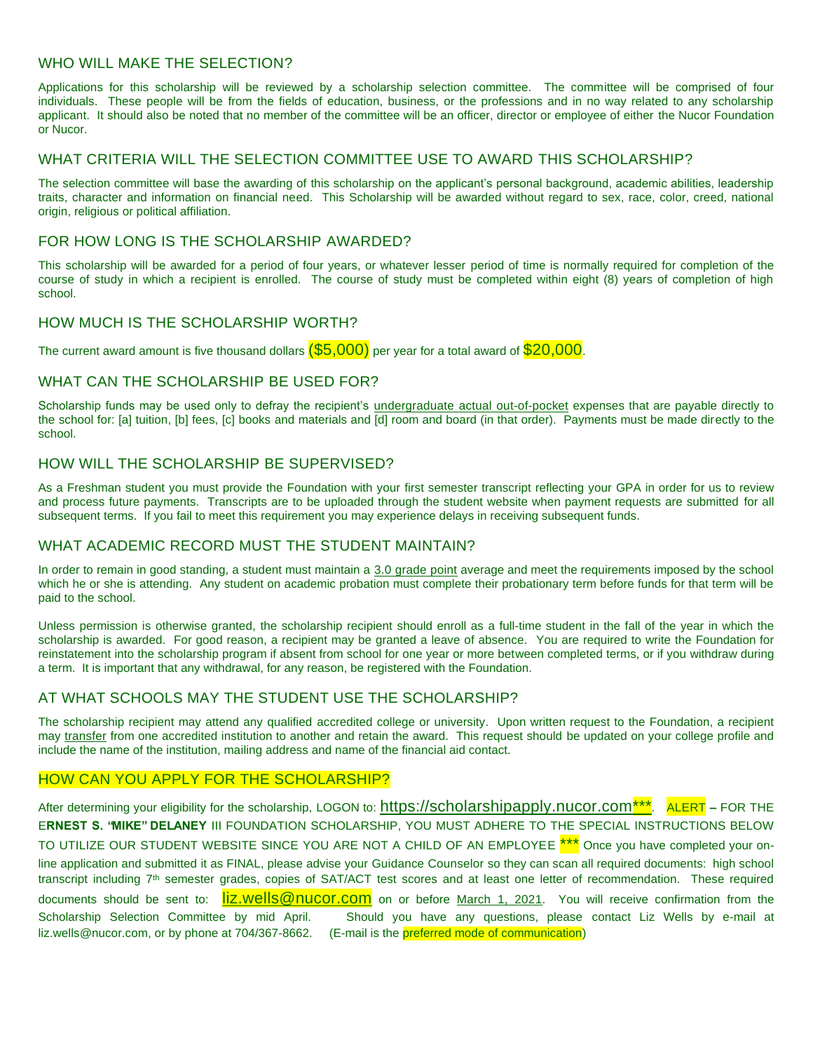### *WHO WILL MAKE THE SELECTION?*

Applications for this scholarship will be reviewed by a scholarship selection committee. The committee will be comprised of four individuals. These people will be from the fields of education, business, or the professions and in no way related to any scholarship applicant. It should also be noted that no member of the committee will be an officer, director or employee of either the Nucor Foundation or Nucor.

#### *WHAT CRITERIA WILL THE SELECTION COMMITTEE USE TO AWARD THIS SCHOLARSHIP?*

The selection committee will base the awarding of this scholarship on the applicant's personal background, academic abilities, leadership traits, character and information on financial need. This Scholarship will be awarded without regard to sex, race, color, creed, national origin, religious or political affiliation.

### *FOR HOW LONG IS THE SCHOLARSHIP AWARDED?*

This scholarship will be awarded for a period of four years, or whatever lesser period of time is normally required for completion of the course of study in which a recipient is enrolled. The course of study must be completed within eight (8) years of completion of high school.

#### *HOW MUCH IS THE SCHOLARSHIP WORTH?*

The current award amount is five thousand dollars  $(\$5,000)$  per year for a total award of  $\$20,000$ .

#### *WHAT CAN THE SCHOLARSHIP BE USED FOR?*

Scholarship funds may be used only to defray the recipient's *undergraduate actual out-of-pocket* expenses that are payable directly to the school for: [a] tuition, [b] fees, [c] books and materials and [d] room and board (in that order). Payments must be made directly to the school.

#### *HOW WILL THE SCHOLARSHIP BE SUPERVISED?*

As a Freshman student you must provide the Foundation with your first semester transcript reflecting your GPA in order for us to review and process future payments. Transcripts are to be uploaded through the student website when payment requests are submitted for all subsequent terms. If you fail to meet this requirement you may experience delays in receiving subsequent funds.

#### *WHAT ACADEMIC RECORD MUST THE STUDENT MAINTAIN?*

In order to remain in good standing, a student must maintain a *3.0 grade point* average and meet the requirements imposed by the school which he or she is attending. Any student on academic probation must complete their probationary term before funds for that term will be paid to the school.

Unless permission is otherwise granted, the scholarship recipient should enroll as a full-time student in the fall of the year in which the scholarship is awarded. For good reason, a recipient may be granted a leave of absence. You are required to write the Foundation for reinstatement into the scholarship program if absent from school for one year or more between completed terms, or if you withdraw during a term. It is important that any withdrawal, for any reason, be registered with the Foundation.

#### *AT WHAT SCHOOLS MAY THE STUDENT USE THE SCHOLARSHIP?*

The scholarship recipient may attend any qualified accredited college or university. Upon written request to the Foundation, a recipient may *transfer* from one accredited institution to another and retain the award. This request should be updated on your college profile and include the name of the institution, mailing address and name of the financial aid contact.

#### *HOW CAN YOU APPLY FOR THE SCHOLARSHIP?*

After determining your eligibility for the scholarship, LOGON to: https://scholarshipapply.nucor.com<sup>\*\*\*</sup>. ALERT - FOR THE ERNEST S. 'MIKE" DELANEY III FOUNDATION SCHOLARSHIP, YOU MUST ADHERE TO THE SPECIAL INSTRUCTIONS BELOW TO UTILIZE OUR STUDENT WEBSITE SINCE YOU ARE NOT A CHILD OF AN EMPLOYEE \*\*\* Once you have completed your online application and submitted it as FINAL, please advise your Guidance Counselor so they can scan all required documents: high school transcript including 7<sup>th</sup> semester grades, copies of SAT/ACT test scores and at least one letter of recommendation. These required documents should be sent to: [liz.wells@nucor.com](mailto:liz.wells@nucor.com) on or before March 1, 2021. You will receive confirmation from the Scholarship Selection Committee by mid April. Should you have any questions, please contact Liz Wells by e-mail at liz.wells@nucor.com, or by phone at 704/367-8662. (E-mail is the preferred mode of communication)